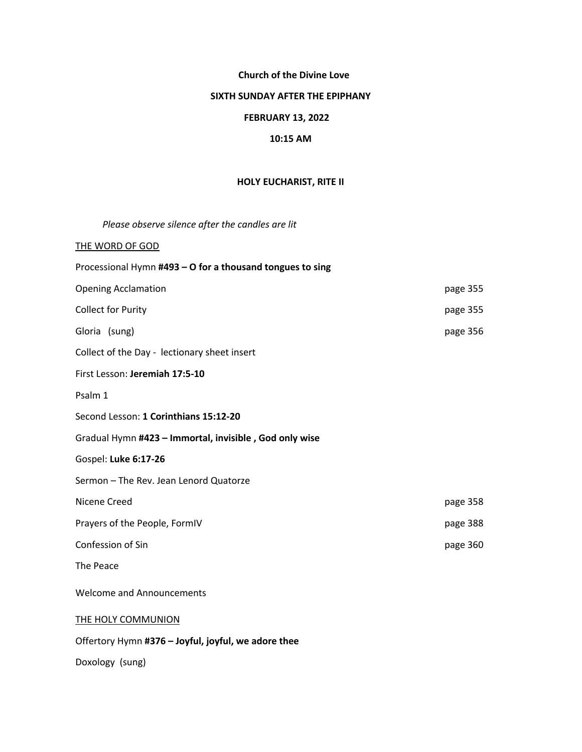### **Church of the Divine Love**

#### **SIXTH SUNDAY AFTER THE EPIPHANY**

## **FEBRUARY 13, 2022**

### **10:15 AM**

### **HOLY EUCHARIST, RITE II**

| Please observe silence after the candles are lit          |          |
|-----------------------------------------------------------|----------|
| THE WORD OF GOD                                           |          |
| Processional Hymn #493 - O for a thousand tongues to sing |          |
| <b>Opening Acclamation</b>                                | page 355 |
| <b>Collect for Purity</b>                                 | page 355 |
| Gloria (sung)                                             | page 356 |
| Collect of the Day - lectionary sheet insert              |          |
| First Lesson: Jeremiah 17:5-10                            |          |
| Psalm 1                                                   |          |
| Second Lesson: 1 Corinthians 15:12-20                     |          |
| Gradual Hymn #423 - Immortal, invisible, God only wise    |          |
| Gospel: Luke 6:17-26                                      |          |
| Sermon - The Rev. Jean Lenord Quatorze                    |          |
| Nicene Creed                                              | page 358 |
| Prayers of the People, FormIV                             | page 388 |
| Confession of Sin                                         | page 360 |
| The Peace                                                 |          |
| <b>Welcome and Announcements</b>                          |          |
| THE HOLY COMMUNION                                        |          |
| Offertory Hymn #376 - Joyful, joyful, we adore thee       |          |

Doxology (sung)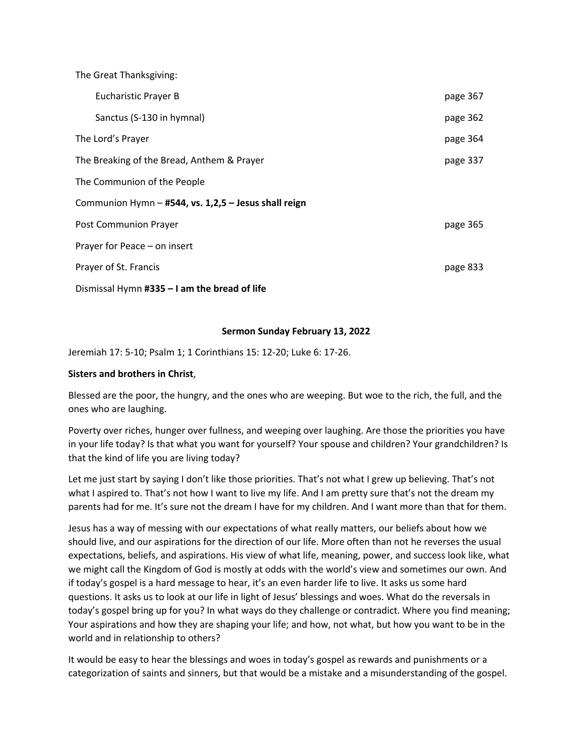The Great Thanksgiving: Eucharistic Prayer B **page 367**  Sanctus (S-130 in hymnal) page 362 The Lord's Prayer page 364 The Breaking of the Bread, Anthem & Prayer page 137 The Communion of the People Communion Hymn – **#544, vs. 1,2,5 – Jesus shall reign** Post Communion Prayer page 365 Prayer for Peace – on insert Prayer of St. Francis **page 833** Dismissal Hymn **#335 – I am the bread of life**

#### **Sermon Sunday February 13, 2022**

Jeremiah 17: 5-10; Psalm 1; 1 Corinthians 15: 12-20; Luke 6: 17-26.

#### **Sisters and brothers in Christ**,

Blessed are the poor, the hungry, and the ones who are weeping. But woe to the rich, the full, and the ones who are laughing.

Poverty over riches, hunger over fullness, and weeping over laughing. Are those the priorities you have in your life today? Is that what you want for yourself? Your spouse and children? Your grandchildren? Is that the kind of life you are living today?

Let me just start by saying I don't like those priorities. That's not what I grew up believing. That's not what I aspired to. That's not how I want to live my life. And I am pretty sure that's not the dream my parents had for me. It's sure not the dream I have for my children. And I want more than that for them.

Jesus has a way of messing with our expectations of what really matters, our beliefs about how we should live, and our aspirations for the direction of our life. More often than not he reverses the usual expectations, beliefs, and aspirations. His view of what life, meaning, power, and success look like, what we might call the Kingdom of God is mostly at odds with the world's view and sometimes our own. And if today's gospel is a hard message to hear, it's an even harder life to live. It asks us some hard questions. It asks us to look at our life in light of Jesus' blessings and woes. What do the reversals in today's gospel bring up for you? In what ways do they challenge or contradict. Where you find meaning; Your aspirations and how they are shaping your life; and how, not what, but how you want to be in the world and in relationship to others?

It would be easy to hear the blessings and woes in today's gospel as rewards and punishments or a categorization of saints and sinners, but that would be a mistake and a misunderstanding of the gospel.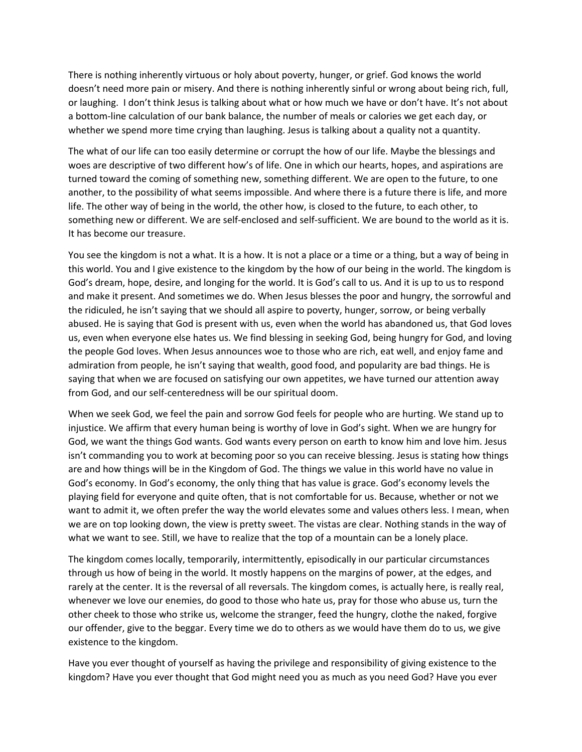There is nothing inherently virtuous or holy about poverty, hunger, or grief. God knows the world doesn't need more pain or misery. And there is nothing inherently sinful or wrong about being rich, full, or laughing. I don't think Jesus is talking about what or how much we have or don't have. It's not about a bottom-line calculation of our bank balance, the number of meals or calories we get each day, or whether we spend more time crying than laughing. Jesus is talking about a quality not a quantity.

The what of our life can too easily determine or corrupt the how of our life. Maybe the blessings and woes are descriptive of two different how's of life. One in which our hearts, hopes, and aspirations are turned toward the coming of something new, something different. We are open to the future, to one another, to the possibility of what seems impossible. And where there is a future there is life, and more life. The other way of being in the world, the other how, is closed to the future, to each other, to something new or different. We are self-enclosed and self-sufficient. We are bound to the world as it is. It has become our treasure.

You see the kingdom is not a what. It is a how. It is not a place or a time or a thing, but a way of being in this world. You and I give existence to the kingdom by the how of our being in the world. The kingdom is God's dream, hope, desire, and longing for the world. It is God's call to us. And it is up to us to respond and make it present. And sometimes we do. When Jesus blesses the poor and hungry, the sorrowful and the ridiculed, he isn't saying that we should all aspire to poverty, hunger, sorrow, or being verbally abused. He is saying that God is present with us, even when the world has abandoned us, that God loves us, even when everyone else hates us. We find blessing in seeking God, being hungry for God, and loving the people God loves. When Jesus announces woe to those who are rich, eat well, and enjoy fame and admiration from people, he isn't saying that wealth, good food, and popularity are bad things. He is saying that when we are focused on satisfying our own appetites, we have turned our attention away from God, and our self-centeredness will be our spiritual doom.

When we seek God, we feel the pain and sorrow God feels for people who are hurting. We stand up to injustice. We affirm that every human being is worthy of love in God's sight. When we are hungry for God, we want the things God wants. God wants every person on earth to know him and love him. Jesus isn't commanding you to work at becoming poor so you can receive blessing. Jesus is stating how things are and how things will be in the Kingdom of God. The things we value in this world have no value in God's economy. In God's economy, the only thing that has value is grace. God's economy levels the playing field for everyone and quite often, that is not comfortable for us. Because, whether or not we want to admit it, we often prefer the way the world elevates some and values others less. I mean, when we are on top looking down, the view is pretty sweet. The vistas are clear. Nothing stands in the way of what we want to see. Still, we have to realize that the top of a mountain can be a lonely place.

The kingdom comes locally, temporarily, intermittently, episodically in our particular circumstances through us how of being in the world. It mostly happens on the margins of power, at the edges, and rarely at the center. It is the reversal of all reversals. The kingdom comes, is actually here, is really real, whenever we love our enemies, do good to those who hate us, pray for those who abuse us, turn the other cheek to those who strike us, welcome the stranger, feed the hungry, clothe the naked, forgive our offender, give to the beggar. Every time we do to others as we would have them do to us, we give existence to the kingdom.

Have you ever thought of yourself as having the privilege and responsibility of giving existence to the kingdom? Have you ever thought that God might need you as much as you need God? Have you ever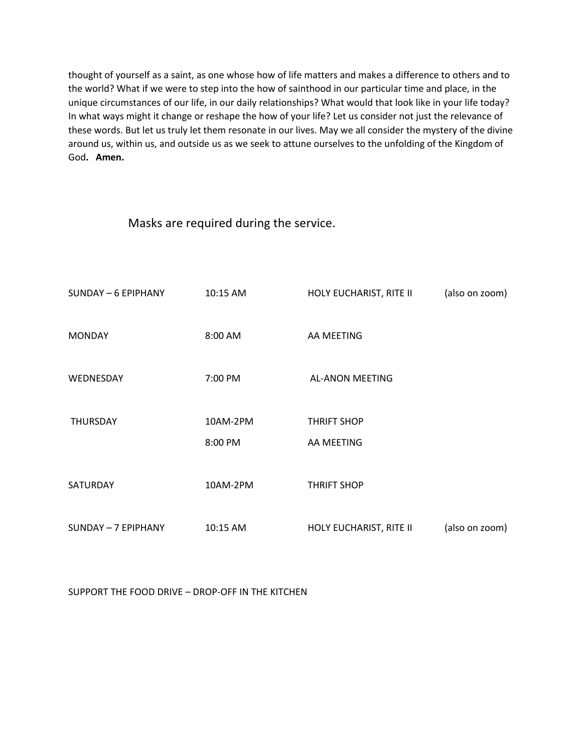thought of yourself as a saint, as one whose how of life matters and makes a difference to others and to the world? What if we were to step into the how of sainthood in our particular time and place, in the unique circumstances of our life, in our daily relationships? What would that look like in your life today? In what ways might it change or reshape the how of your life? Let us consider not just the relevance of these words. But let us truly let them resonate in our lives. May we all consider the mystery of the divine around us, within us, and outside us as we seek to attune ourselves to the unfolding of the Kingdom of God**. Amen.**

Masks are required during the service.

| SUNDAY - 6 EPIPHANY | 10:15 AM | HOLY EUCHARIST, RITE II | (also on zoom) |
|---------------------|----------|-------------------------|----------------|
|                     |          |                         |                |
| <b>MONDAY</b>       | 8:00 AM  | AA MEETING              |                |
| WEDNESDAY           | 7:00 PM  | <b>AL-ANON MEETING</b>  |                |
|                     |          |                         |                |
| <b>THURSDAY</b>     | 10AM-2PM | <b>THRIFT SHOP</b>      |                |
|                     | 8:00 PM  | AA MEETING              |                |
|                     |          |                         |                |
| SATURDAY            | 10AM-2PM | <b>THRIFT SHOP</b>      |                |
|                     |          |                         |                |
| SUNDAY - 7 EPIPHANY | 10:15 AM | HOLY EUCHARIST, RITE II | (also on zoom) |

SUPPORT THE FOOD DRIVE – DROP-OFF IN THE KITCHEN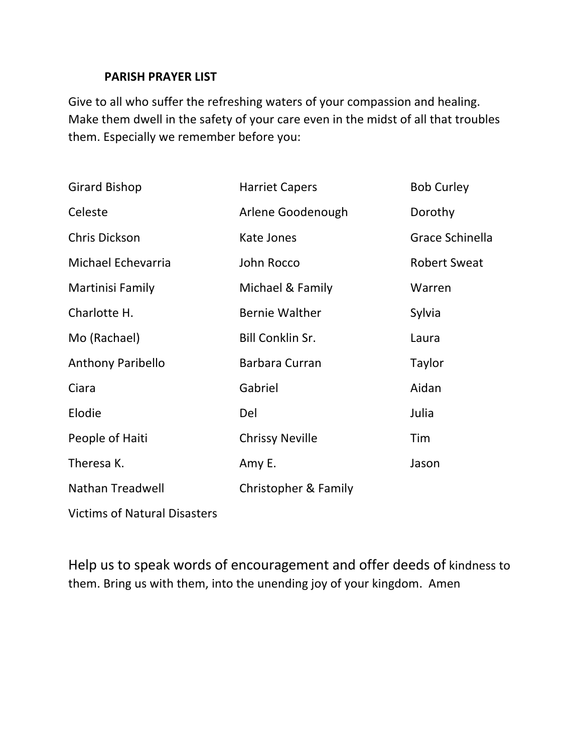# **PARISH PRAYER LIST**

Give to all who suffer the refreshing waters of your compassion and healing. Make them dwell in the safety of your care even in the midst of all that troubles them. Especially we remember before you:

| <b>Girard Bishop</b>     | <b>Harriet Capers</b>   | <b>Bob Curley</b>   |
|--------------------------|-------------------------|---------------------|
| Celeste                  | Arlene Goodenough       | Dorothy             |
| <b>Chris Dickson</b>     | Kate Jones              | Grace Schinella     |
| Michael Echevarria       | John Rocco              | <b>Robert Sweat</b> |
| Martinisi Family         | Michael & Family        | Warren              |
| Charlotte H.             | <b>Bernie Walther</b>   | Sylvia              |
| Mo (Rachael)             | <b>Bill Conklin Sr.</b> | Laura               |
| <b>Anthony Paribello</b> | Barbara Curran          | Taylor              |
| Ciara                    | Gabriel                 | Aidan               |
| Elodie                   | Del                     | Julia               |
| People of Haiti          | <b>Chrissy Neville</b>  | Tim                 |
| Theresa K.               | Amy E.                  | Jason               |
| <b>Nathan Treadwell</b>  | Christopher & Family    |                     |
|                          |                         |                     |

Victims of Natural Disasters

Help us to speak words of encouragement and offer deeds of kindness to them. Bring us with them, into the unending joy of your kingdom. Amen